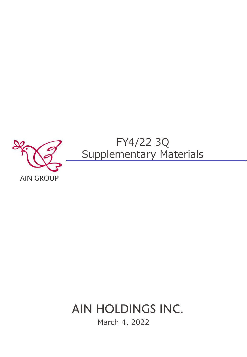

# AIN HOLDINGS INC.

March 4, 2022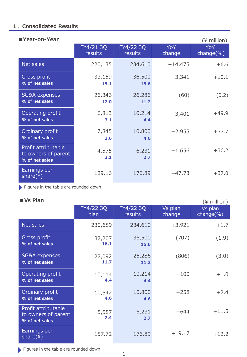# **1.Consolidated Results**

| ■ Year-on-Year                                               |                             |                             |               | $(*)$ million)     |
|--------------------------------------------------------------|-----------------------------|-----------------------------|---------------|--------------------|
|                                                              | FY4/21 3Q<br><b>results</b> | FY4/22 3Q<br><b>results</b> | YoY<br>change | YoY<br>$change$ %) |
| Net sales                                                    | 220,135                     | 234,610                     | $+14,475$     | $+6.6$             |
| Gross profit<br>% of net sales                               | 33,159<br>15.1              | 36,500<br>15.6              | $+3,341$      | $+10.1$            |
| SG&A expenses<br>% of net sales                              | 26,346<br>12.0              | 26,286<br>11.2              | (60)          | (0.2)              |
| Operating profit<br>% of net sales                           | 6,813<br>3.1                | 10,214<br>4.4               | $+3,401$      | $+49.9$            |
| Ordinary profit<br>% of net sales                            | 7,845<br>3.6                | 10,800<br>4.6               | $+2,955$      | $+37.7$            |
| Profit attributable<br>to owners of parent<br>% of net sales | 4,575<br>2.1                | 6,231<br>2.7                | $+1,656$      | $+36.2$            |
| Earnings per<br>share(4)                                     | 129.16                      | 176.89                      | $+47.73$      | $+37.0$            |

Figures in the table are rounded down

# **■Vs Plan**

| ■ Vs Plan                                                    |                   |                      |                   | (¥ million)          |
|--------------------------------------------------------------|-------------------|----------------------|-------------------|----------------------|
|                                                              | FY4/22 3Q<br>plan | FY4/22 3Q<br>results | Vs plan<br>change | Vs plan<br>change(%) |
| Net sales                                                    | 230,689           | 234,610              | $+3,921$          | $+1.7$               |
| <b>Gross profit</b><br>% of net sales                        | 37,207<br>16.1    | 36,500<br>15.6       | (707)             | (1.9)                |
| SG&A expenses<br>% of net sales                              | 27,092<br>11.7    | 26,286<br>11.2       | (806)             | (3.0)                |
| Operating profit<br>% of net sales                           | 10,114<br>4.4     | 10,214<br>4.4        | $+100$            | $+1.0$               |
| Ordinary profit<br>% of net sales                            | 10,542<br>4.6     | 10,800<br>4.6        | $+258$            | $+2.4$               |
| Profit attributable<br>to owners of parent<br>% of net sales | 5,587<br>2.4      | 6,231<br>2.7         | $+644$            | $+11.5$              |
| Earnings per<br>share(4)                                     | 157.72            | 176.89               | $+19.17$          | $+12.2$              |

Figures in the table are rounded down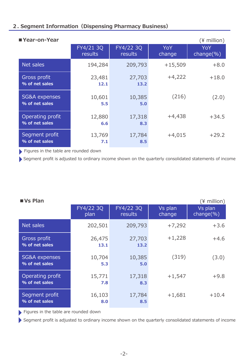# **2. Segment Information(Dispensing Pharmacy Business)**

| ■ Year-on-Year                     |                             |                             |               | $(*)$ million)        |
|------------------------------------|-----------------------------|-----------------------------|---------------|-----------------------|
|                                    | FY4/21 3Q<br><b>results</b> | FY4/22 3Q<br><b>results</b> | YoY<br>change | YoY<br>change $(\% )$ |
| Net sales                          | 194,284                     | 209,793                     | $+15,509$     | $+8.0$                |
| Gross profit<br>% of net sales     | 23,481<br>12.1              | 27,703<br>13.2              | $+4,222$      | $+18.0$               |
| SG&A expenses<br>% of net sales    | 10,601<br>5.5               | 10,385<br>5.0               | (216)         | (2.0)                 |
| Operating profit<br>% of net sales | 12,880<br>6.6               | 17,318<br>8.3               | $+4,438$      | $+34.5$               |
| Segment profit<br>% of net sales   | 13,769<br>7.1               | 17,784<br>8.5               | $+4,015$      | $+29.2$               |

Figures in the table are rounded down

Segment profit is adjusted to ordinary income shown on the quarterly consolidated statements of income

| ■ Vs Plan                          |                   |                      |                   | $(*)$ million)            |
|------------------------------------|-------------------|----------------------|-------------------|---------------------------|
|                                    | FY4/22 3Q<br>plan | FY4/22 3Q<br>results | Vs plan<br>change | Vs plan<br>change $(\% )$ |
| Net sales                          | 202,501           | 209,793              | $+7,292$          | $+3.6$                    |
| Gross profit<br>% of net sales     | 26,475<br>13.1    | 27,703<br>13.2       | $+1,228$          | $+4.6$                    |
| SG&A expenses<br>% of net sales    | 10,704<br>5.3     | 10,385<br>5.0        | (319)             | (3.0)                     |
| Operating profit<br>% of net sales | 15,771<br>7.8     | 17,318<br>8.3        | $+1,547$          | $+9.8$                    |
| Segment profit<br>% of net sales   | 16,103<br>8.0     | 17,784<br>8.5        | $+1,681$          | $+10.4$                   |

Figures in the table are rounded down

Segment profit is adjusted to ordinary income shown on the quarterly consolidated statements of income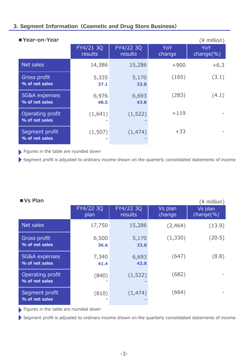# **3. Segment Information(Cosmetic and Drug Store Business)**

| ■ Year-on-Year                     |                      |                             |               | $(*)$ million)        |
|------------------------------------|----------------------|-----------------------------|---------------|-----------------------|
|                                    | FY4/21 3Q<br>results | FY4/22 3Q<br><b>results</b> | YoY<br>change | YoY<br>change $(\% )$ |
| Net sales                          | 14,386               | 15,286                      | $+900$        | $+6.3$                |
| Gross profit<br>% of net sales     | 5,335<br>37.1        | 5,170<br>33.8               | (165)         | (3.1)                 |
| SG&A expenses<br>% of net sales    | 6,976<br>48.5        | 6,693<br>43.8               | (283)         | (4.1)                 |
| Operating profit<br>% of net sales | (1,641)              | (1, 522)                    | $+119$        |                       |
| Segment profit<br>% of net sales   | (1,507)              | (1, 474)                    | $+33$         |                       |

Figures in the table are rounded down

Segment profit is adjusted to ordinary income shown on the quarterly consolidated statements of income

| ■ Vs Plan                                  |                   |                             |                   | $(*)$ million)            |
|--------------------------------------------|-------------------|-----------------------------|-------------------|---------------------------|
|                                            | FY4/22 3Q<br>plan | FY4/22 3Q<br><b>results</b> | Vs plan<br>change | Vs plan<br>change $(\% )$ |
| Net sales                                  | 17,750            | 15,286                      | (2,464)           | (13.9)                    |
| Gross profit<br>% of net sales             | 6,500<br>36.6     | 5,170<br>33.8               | (1,330)           | (20.5)                    |
| <b>SG&amp;A expenses</b><br>% of net sales | 7,340<br>41.4     | 6,693<br>43.8               | (647)             | (8.8)                     |
| Operating profit<br>% of net sales         | (840)             | (1, 522)                    | (682)             |                           |
| Segment profit<br>% of net sales           | (810)             | (1, 474)                    | (664)             |                           |

Figures in the table are rounded down

Segment profit is adjusted to ordinary income shown on the quarterly consolidated statements of income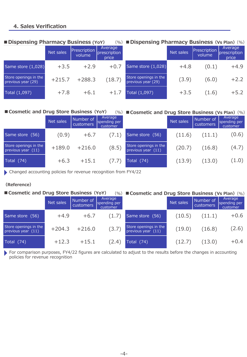# **4. Sales Verification**

### Net sales Prescription volume Average prescription price Same store  $(1,028)$  +3.5 +2.9 +0.7 Store openings in the Store openings in the  $+215.7$  +288.3 (18.7) Total  $(1,097)$   $+7.8$   $+6.1$   $+1.7$ Net sales **Prescription** volume Average prescription price Same store  $(1,028)$   $+4.8$   $(0.1)$   $+4.9$ Store openings in the Store openings in the  $(3.9)$   $(6.0)$   $+2.2$ Total  $(1,097)$   $+3.5$   $(1.6)$   $+5.2$

# **■Dispensing Pharmacy Business (YoY)**

## (%)**■Dispensing Pharmacy Business(Vs Plan)**(%)

| Cosmetic and Drug Store Business (YoY)<br>(%) ■ Cosmetic and Drug Store Business (Vs Plan) (%) |           |                               |                                     |                                               |           |                        |                                     |
|------------------------------------------------------------------------------------------------|-----------|-------------------------------|-------------------------------------|-----------------------------------------------|-----------|------------------------|-------------------------------------|
|                                                                                                | Net sales | Number of<br><b>customers</b> | Average<br>spending per<br>customer |                                               | Net sales | Number of<br>customers | Average<br>spending per<br>customer |
| Same store (56)                                                                                | (0.9)     | $+6.7$                        | (7.1)                               | Same store (56)                               | (11.6)    | (11.1)                 | (0.6)                               |
| Store openings in the<br>previous year (11)                                                    | $+189.0$  | $+216.0$                      | (8.5)                               | Store openings in the<br>previous year $(11)$ | (20.7)    | (16.8)                 | (4.7)                               |
| Total (74)                                                                                     | $+6.3$    | $+15.1$                       | (7.7)                               | Total $(74)$                                  | (13.9)    | (13.0)                 | (1.0)                               |

Changed accounting policies for revenue recognition from FY4/22

# **(Reference)**

| Cosmetic and Drug Store Business (YoY)<br>(%) ■ Cosmetic and Drug Store Business (Vs Plan) (%) |           |                        |                                     |                                               |           |                        |                                     |
|------------------------------------------------------------------------------------------------|-----------|------------------------|-------------------------------------|-----------------------------------------------|-----------|------------------------|-------------------------------------|
|                                                                                                | Net sales | Number of<br>customers | Average<br>spending per<br>customer |                                               | Net sales | Number of<br>customers | Average<br>spending per<br>customer |
| Same store (56)                                                                                | $+4.9$    | $+6.7$                 | (1.7)                               | Same store (56)                               | (10.5)    | (11.1)                 | $+0.6$                              |
| Store openings in the<br>previous year $(11)$                                                  |           | $+204.3 +216.0$        | (3.7)                               | Store openings in the<br>previous year $(11)$ | (19.0)    | (16.8)                 | (2.6)                               |
| Total (74)                                                                                     | $+12.3$   | $+15.1$                | (2.4)                               | $\overline{\text{Total}}$ (74)                | (12.7)    | (13.0)                 | $+0.4$                              |

For comparison purposes, FY4/22 figures are calculated to adjust to the results before the changes in accounting policies for revenue recognition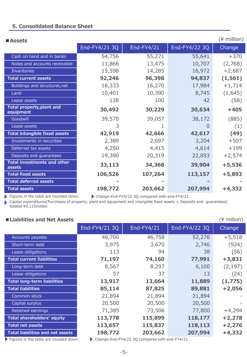# **5. Consolidated Balance Sheet**

| ■ Assets                                     |               |                                               |               | (¥ million) |
|----------------------------------------------|---------------|-----------------------------------------------|---------------|-------------|
|                                              | End-FY4/21 3Q | End-FY4/21                                    | End-FY4/22 3Q | Change      |
| Cash on hand and in banks                    | 54,756        | 55,271                                        | 55,641        | $+370$      |
| Notes and accounts receivable                | 11,866        | 13,475                                        | 10,707        | (2,768)     |
| <b>Inventories</b>                           | 15,598        | 14,285                                        | 16,972        | $+2,687$    |
| <b>Total current assets</b>                  | 92,246        | 96,398                                        | 94,837        | (1, 561)    |
| Buildings and structures, net                | 16,333        | 16,270                                        | 17,984        | $+1,714$    |
| Land                                         | 10,401        | 10,390                                        | 8,745         | (1,645)     |
| Lease assets                                 | 128           | 100                                           | 42            | (58)        |
| Total property, plant and<br>equipment       | 30,492        | 30,229                                        | 30,634        | $+405$      |
| Goodwill                                     | 39,570        | 39,057                                        | 38,172        | (885)       |
| Lease assets                                 | 3             |                                               | $\Omega$      | (1)         |
| <b>Total intangible fixed assets</b>         | 42,919        | 42,666                                        | 42,617        | (49)        |
| Investments in securities                    | 2,389         | 2,697                                         | 3,204         | $+507$      |
| Deferred tax assets                          | 4,250         | 4,415                                         | 4,614         | $+199$      |
| Deposits and guarantees                      | 19,390        | 20,319                                        | 22,893        | $+2,574$    |
| <b>Total investments and other</b><br>assets | 33,113        | 34,368                                        | 39,904        | $+5,536$    |
| <b>Total fixed assets</b>                    | 106,526       | 107,264                                       | 113,157       | $+5,893$    |
| <b>Total deferred assets</b>                 |               |                                               |               |             |
| <b>Total assets</b>                          | 198,772       | 203,662                                       | 207,994       | $+4,332$    |
| Figures in the table are rounded down        |               | Change:End-FY4/22 3Q compared with end-FY4/21 |               |             |

Capital expenditures(Purchases of property, plant and equipment and intangible fixed assets + Deposits and guarantees)  $\blacktriangleright$ totaled ¥9,125million

| Liabilities and Net Assets |  |  |  |
|----------------------------|--|--|--|
|----------------------------|--|--|--|

| Liabilities and Net Assets              |               |                                                         |               | $(*)$ million) |
|-----------------------------------------|---------------|---------------------------------------------------------|---------------|----------------|
|                                         | End-FY4/21 3Q | End-FY4/21                                              | End-FY4/22 3Q | Change         |
| Accounts payable                        | 46,700        | 46,758                                                  | 52,276        | $+5,518$       |
| Short-term debt                         | 3,975         | 3,670                                                   | 2,746         | (924)          |
| Lease obligations                       | 113           | 94                                                      | 38            | (56)           |
| <b>Total current liabilities</b>        | 71,197        | 74,160                                                  | 77,991        | $+3,831$       |
| Long-term debt                          | 8,567         | 8,297                                                   | 6,100         | (2, 197)       |
| Lease obligations                       | 57            | 37                                                      | 13            | (24)           |
| <b>Total long-term liabilities</b>      | 13,917        | 13,664                                                  | 11,889        | (1,775)        |
| <b>Total liabilities</b>                | 85,114        | 87,825                                                  | 89,881        | $+2,056$       |
| Common stock                            | 21,894        | 21,894                                                  | 21,894        |                |
| Capital surplus                         | 20,500        | 20,500                                                  | 20,500        |                |
| Retained earnings                       | 71,385        | 73,506                                                  | 77,800        | $+4,294$       |
| Total shareholders' equity              | 113,778       | 115,899                                                 | 118,177       | $+2,278$       |
| <b>Total net assets</b>                 | 113,657       | 115,837                                                 | 118,113       | $+2,276$       |
| <b>Total liabilities and net assets</b> | 198,772       | 203,662                                                 | 207,994       | $+4,332$       |
| Eigures in the table are rounded down   |               | Change: $End$ - $FVA/22$ 30 compared with end- $FVA/21$ |               |                |

Figures in the table are rounded down  $\qquad \qquad \blacktriangleright$  Change:End-FY4/22 3Q compared with end-FY4/21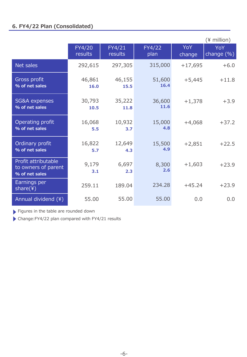|                                                              |                   |                   |                |                      | $(*)$ million)           |
|--------------------------------------------------------------|-------------------|-------------------|----------------|----------------------|--------------------------|
|                                                              | FY4/20<br>results | FY4/21<br>results | FY4/22<br>plan | <b>YoY</b><br>change | <b>YoY</b><br>change (%) |
| Net sales                                                    | 292,615           | 297,305           | 315,000        | $+17,695$            | $+6.0$                   |
| Gross profit<br>% of net sales                               | 46,861<br>16.0    | 46,155<br>15.5    | 51,600<br>16.4 | $+5,445$             | $+11.8$                  |
| <b>SG&amp;A</b> expenses<br>% of net sales                   | 30,793<br>10.5    | 35,222<br>11.8    | 36,600<br>11.6 | $+1,378$             | $+3.9$                   |
| Operating profit<br>% of net sales                           | 16,068<br>5.5     | 10,932<br>3.7     | 15,000<br>4.8  | $+4,068$             | $+37.2$                  |
| Ordinary profit<br>% of net sales                            | 16,822<br>5.7     | 12,649<br>4.3     | 15,500<br>4.9  | $+2,851$             | $+22.5$                  |
| Profit attributable<br>to owners of parent<br>% of net sales | 9,179<br>3.1      | 6,697<br>2.3      | 8,300<br>2.6   | $+1,603$             | $+23.9$                  |
| Earnings per<br>share(4)                                     | 259.11            | 189.04            | 234.28         | $+45.24$             | $+23.9$                  |
| Annual dividend (¥)                                          | 55.00             | 55.00             | 55.00          | 0.0                  | 0.0                      |

Figures in the table are rounded down

Change:FY4/22 plan compared with FY4/21 results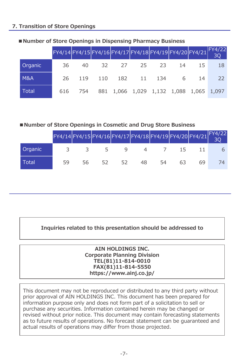# **7. Transition of Store Openings**

|                | $FY4/14$ FY4/15 FY4/16 FY4/17 FY4/18 FY4/19 FY4/20 FY4/21 FY4/22 |         |  |                                         |  |    |
|----------------|------------------------------------------------------------------|---------|--|-----------------------------------------|--|----|
| <b>Organic</b> | 36                                                               |         |  | 40 32 27 25 23 14 15                    |  | 18 |
| <b>M&amp;A</b> | 26.                                                              |         |  | 119 110 182 11 134 6 14                 |  | 22 |
| Total          |                                                                  | 616 754 |  | 881 1,066 1,029 1,132 1,088 1,065 1,097 |  |    |

# ■**Number of Store Openings in Dispensing Pharmacy Business**

# **■Number of Store Openings in Cosmetic and Drug Store Business**

|         | FY4/14 FY4/15 FY4/16 FY4/17 FY4/18 FY4/19 FY4/20 FY4/21 FY4/22 |    |    |    |    |    |    |  |
|---------|----------------------------------------------------------------|----|----|----|----|----|----|--|
| Organic |                                                                |    |    |    |    |    |    |  |
| Total   | 59                                                             | 56 | 52 | トン | 48 | 54 | 69 |  |

# **Inquiries related to this presentation should be addressed to**

# **AIN HOLDINGS INC. Corporate Planning Division TEL(81)11-814-0010 FAX(81)11-814-5550 https://www.ainj.co.jp/**

This document may not be reproduced or distributed to any third party without prior approval of AIN HOLDINGS INC. This document has been prepared for information purpose only and does not form part of a solicitation to sell or purchase any securities. Information contained herein may be changed or revised without prior notice. This document may contain forecasting statements as to future results of operations. No forecast statement can be guaranteed and actual results of operations may differ from those projected.